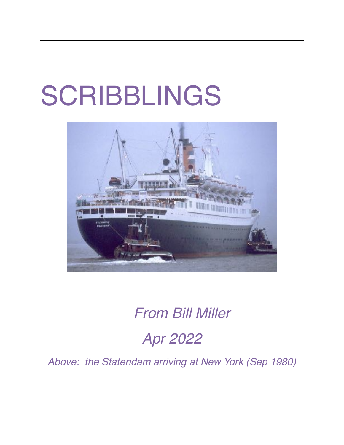## SCRIBBLINGS



## *From Bill Miller*

## *Apr 2022*

*Above: the Statendam arriving at New York (Sep 1980)*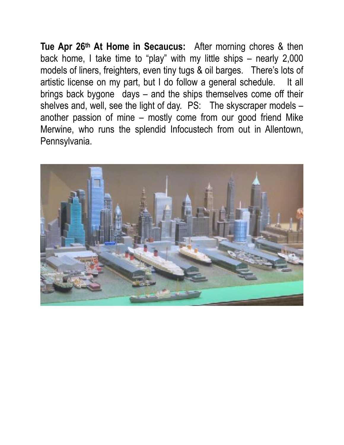**Tue Apr 26th At Home in Secaucus:** After morning chores & then back home, I take time to "play" with my little ships – nearly 2,000 models of liners, freighters, even tiny tugs & oil barges. There's lots of artistic license on my part, but I do follow a general schedule. It all brings back bygone days – and the ships themselves come off their shelves and, well, see the light of day. PS: The skyscraper models another passion of mine – mostly come from our good friend Mike Merwine, who runs the splendid Infocustech from out in Allentown, Pennsylvania.

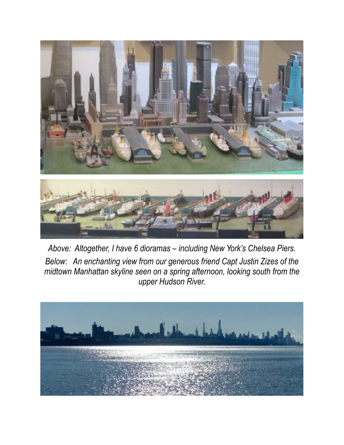

*Above: Altogether, I have 6 dioramas – including New York's Chelsea Piers. Below: An enchanting view from our generous friend Capt Justin Zizes of the midtown Manhattan skyline seen on a spring afternoon, looking south from the upper Hudson River.* 

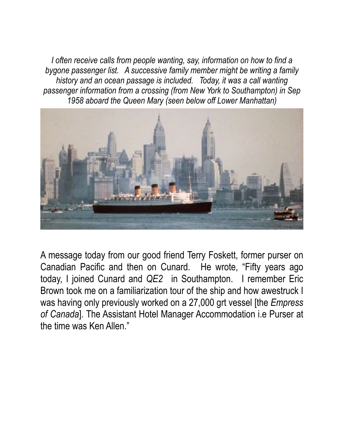*I* often receive calls from people wanting, say, information on how to find a *bygone passenger list. A successive family member might be writing a family history and an ocean passage is included. Today, it was a call wanting passenger information from a crossing (from New York to Southampton) in Sep 1958 aboard the Queen Mary (seen below off Lower Manhattan)* 



A message today from our good friend Terry Foskett, former purser on Canadian Pacific and then on Cunard. He wrote, "Fifty years ago today, I joined Cunard and *QE2* in Southampton. I remember Eric Brown took me on a familiarization tour of the ship and how awestruck I was having only previously worked on a 27,000 grt vessel [the *Empress of Canada*]. The Assistant Hotel Manager Accommodation i.e Purser at the time was Ken Allen."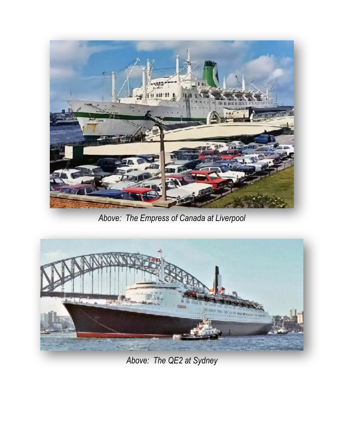

*Above: The Empress of Canada at Liverpool* 



*Above: The QE2 at Sydney*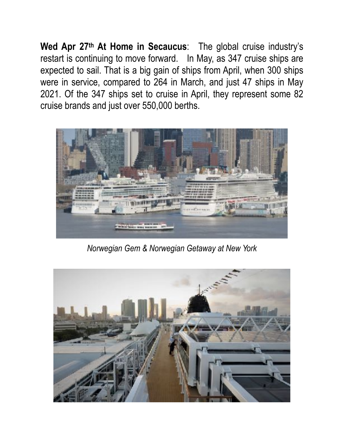**Wed Apr 27th At Home in Secaucus**: The global cruise industry's restart is continuing to move forward. In May, as 347 cruise ships are expected to sail. That is a big gain of ships from April, when 300 ships were in service, compared to 264 in March, and just 47 ships in May 2021. Of the 347 ships set to cruise in April, they represent some 82 cruise brands and just over 550,000 berths.



*Norwegian Gem & Norwegian Getaway at New York*